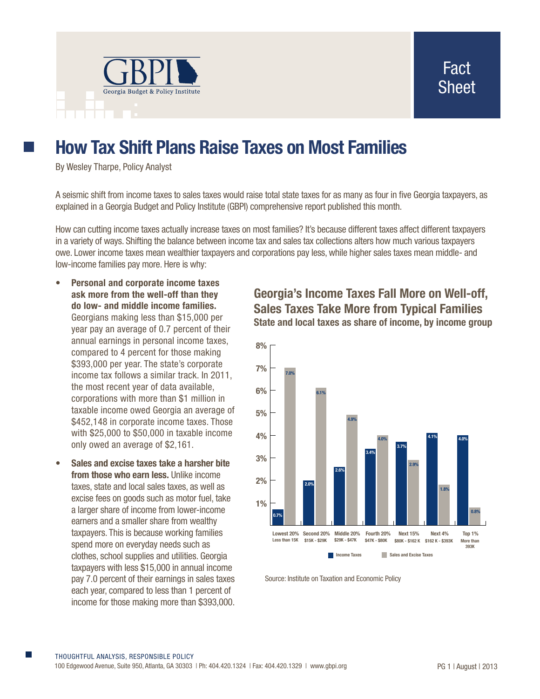

## **How Tax Shift Plans Raise Taxes on Most Families**

By Wesley Tharpe, Policy Analyst

A seismic shift from income taxes to sales taxes would raise total state taxes for as many as four in five Georgia taxpayers, as explained in a Georgia Budget and Policy Institute (GBPI) comprehensive report published this month.

How can cutting income taxes actually increase taxes on most families? It's because different taxes affect different taxpayers in a variety of ways. Shifting the balance between income tax and sales tax collections alters how much various taxpayers owe. Lower income taxes mean wealthier taxpayers and corporations pay less, while higher sales taxes mean middle- and low-income families pay more. Here is why:

- **• Personal and corporate income taxes ask more from the well-off than they do low- and middle income families.** Georgians making less than \$15,000 per year pay an average of 0.7 percent of their annual earnings in personal income taxes, compared to 4 percent for those making \$393,000 per year. The state's corporate income tax follows a similar track. In 2011, the most recent year of data available, corporations with more than \$1 million in taxable income owed Georgia an average of \$452,148 in corporate income taxes. Those with \$25,000 to \$50,000 in taxable income only owed an average of \$2,161.
- **• Sales and excise taxes take a harsher bite from those who earn less.** Unlike income taxes, state and local sales taxes, as well as excise fees on goods such as motor fuel, take a larger share of income from lower-income earners and a smaller share from wealthy taxpayers. This is because working families spend more on everyday needs such as clothes, school supplies and utilities. Georgia taxpayers with less \$15,000 in annual income pay 7.0 percent of their earnings in sales taxes each year, compared to less than 1 percent of income for those making more than \$393,000.

## **Georgia's Income Taxes Fall More on Well-off, Sales Taxes Take More from Typical Families State and local taxes as share of income, by income group**



Source: Institute on Taxation and Economic Policy